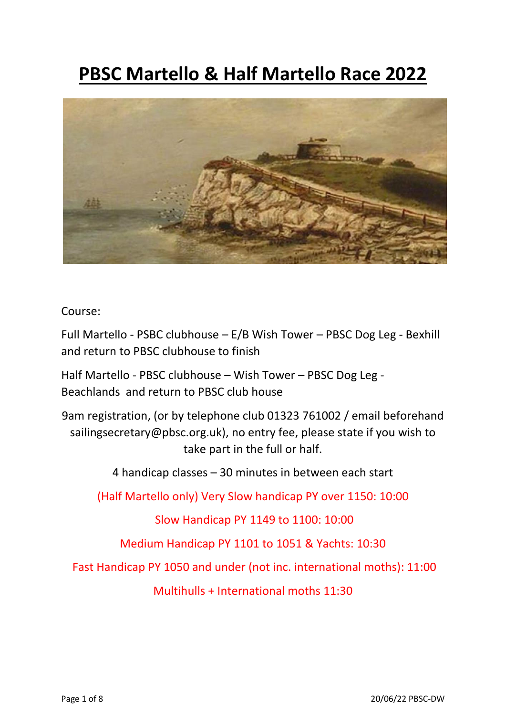# **PBSC Martello & Half Martello Race 2022**



Course:

Full Martello - PSBC clubhouse – E/B Wish Tower – PBSC Dog Leg - Bexhill and return to PBSC clubhouse to finish

Half Martello - PBSC clubhouse – Wish Tower – PBSC Dog Leg - Beachlands and return to PBSC club house

9am registration, (or by telephone club 01323 761002 / email beforehand sailingsecretary@pbsc.org.uk), no entry fee, please state if you wish to take part in the full or half.

4 handicap classes – 30 minutes in between each start

(Half Martello only) Very Slow handicap PY over 1150: 10:00

Slow Handicap PY 1149 to 1100: 10:00

Medium Handicap PY 1101 to 1051 & Yachts: 10:30

Fast Handicap PY 1050 and under (not inc. international moths): 11:00

Multihulls + International moths 11:30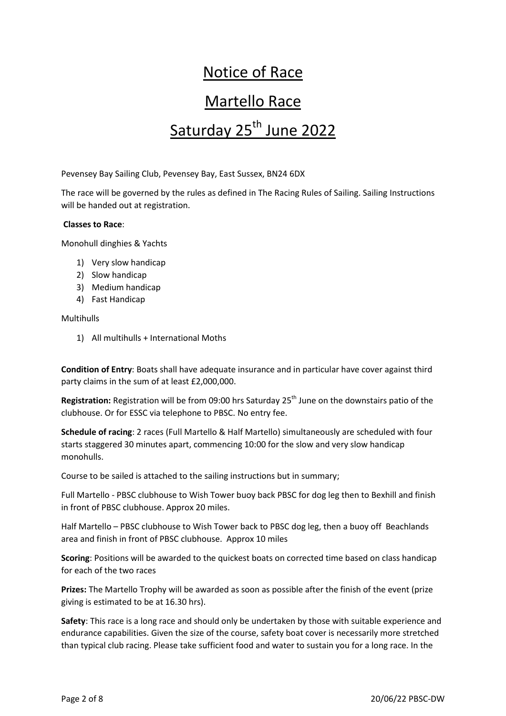# Notice of Race Martello Race Saturday 25<sup>th</sup> June 2022

Pevensey Bay Sailing Club, Pevensey Bay, East Sussex, BN24 6DX

The race will be governed by the rules as defined in The Racing Rules of Sailing. Sailing Instructions will be handed out at registration.

# **Classes to Race**:

Monohull dinghies & Yachts

- 1) Very slow handicap
- 2) Slow handicap
- 3) Medium handicap
- 4) Fast Handicap

# Multihulls

1) All multihulls + International Moths

**Condition of Entry**: Boats shall have adequate insurance and in particular have cover against third party claims in the sum of at least £2,000,000.

**Registration:** Registration will be from 09:00 hrs Saturday 25<sup>th</sup> June on the downstairs patio of the clubhouse. Or for ESSC via telephone to PBSC. No entry fee.

**Schedule of racing**: 2 races (Full Martello & Half Martello) simultaneously are scheduled with four starts staggered 30 minutes apart, commencing 10:00 for the slow and very slow handicap monohulls.

Course to be sailed is attached to the sailing instructions but in summary;

Full Martello - PBSC clubhouse to Wish Tower buoy back PBSC for dog leg then to Bexhill and finish in front of PBSC clubhouse. Approx 20 miles.

Half Martello – PBSC clubhouse to Wish Tower back to PBSC dog leg, then a buoy off Beachlands area and finish in front of PBSC clubhouse. Approx 10 miles

**Scoring**: Positions will be awarded to the quickest boats on corrected time based on class handicap for each of the two races

**Prizes:** The Martello Trophy will be awarded as soon as possible after the finish of the event (prize giving is estimated to be at 16.30 hrs).

**Safety**: This race is a long race and should only be undertaken by those with suitable experience and endurance capabilities. Given the size of the course, safety boat cover is necessarily more stretched than typical club racing. Please take sufficient food and water to sustain you for a long race. In the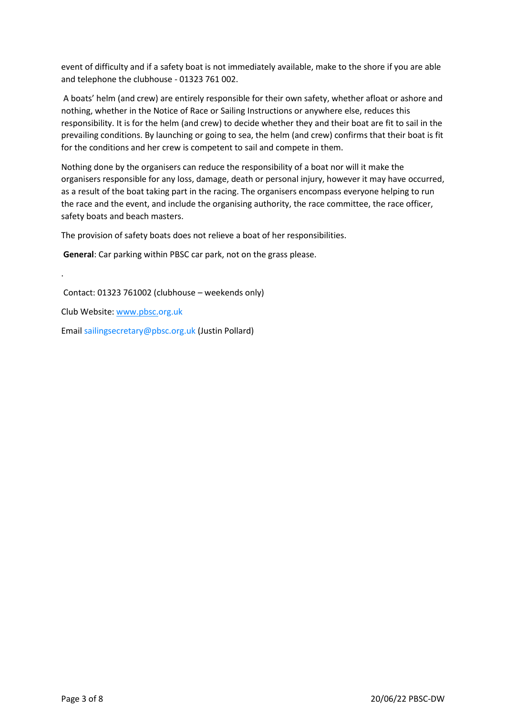event of difficulty and if a safety boat is not immediately available, make to the shore if you are able and telephone the clubhouse - 01323 761 002.

A boats' helm (and crew) are entirely responsible for their own safety, whether afloat or ashore and nothing, whether in the Notice of Race or Sailing Instructions or anywhere else, reduces this responsibility. It is for the helm (and crew) to decide whether they and their boat are fit to sail in the prevailing conditions. By launching or going to sea, the helm (and crew) confirms that their boat is fit for the conditions and her crew is competent to sail and compete in them.

Nothing done by the organisers can reduce the responsibility of a boat nor will it make the organisers responsible for any loss, damage, death or personal injury, however it may have occurred, as a result of the boat taking part in the racing. The organisers encompass everyone helping to run the race and the event, and include the organising authority, the race committee, the race officer, safety boats and beach masters.

The provision of safety boats does not relieve a boat of her responsibilities.

**General**: Car parking within PBSC car park, not on the grass please.

Contact: 01323 761002 (clubhouse – weekends only)

Club Website: [www.pbsc.o](http://www.pbsc.eu/)rg.uk

.

Email sailingsecretary@pbsc.org.uk (Justin Pollard)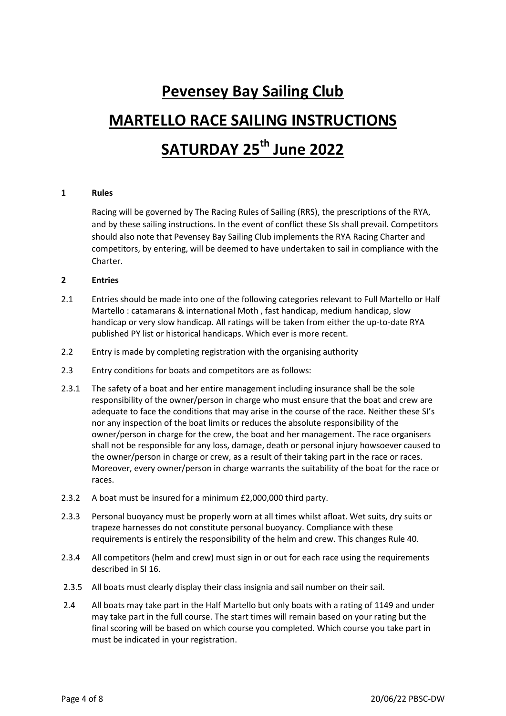# **Pevensey Bay Sailing Club MARTELLO RACE SAILING INSTRUCTIONS SATURDAY 25th June 2022**

# **1 Rules**

Racing will be governed by The Racing Rules of Sailing (RRS), the prescriptions of the RYA, and by these sailing instructions. In the event of conflict these SIs shall prevail. Competitors should also note that Pevensey Bay Sailing Club implements the RYA Racing Charter and competitors, by entering, will be deemed to have undertaken to sail in compliance with the Charter.

# **2 Entries**

- 2.1 Entries should be made into one of the following categories relevant to Full Martello or Half Martello : catamarans & international Moth , fast handicap, medium handicap, slow handicap or very slow handicap. All ratings will be taken from either the up-to-date RYA published PY list or historical handicaps. Which ever is more recent.
- 2.2 Entry is made by completing registration with the organising authority
- 2.3 Entry conditions for boats and competitors are as follows:
- 2.3.1 The safety of a boat and her entire management including insurance shall be the sole responsibility of the owner/person in charge who must ensure that the boat and crew are adequate to face the conditions that may arise in the course of the race. Neither these SI's nor any inspection of the boat limits or reduces the absolute responsibility of the owner/person in charge for the crew, the boat and her management. The race organisers shall not be responsible for any loss, damage, death or personal injury howsoever caused to the owner/person in charge or crew, as a result of their taking part in the race or races. Moreover, every owner/person in charge warrants the suitability of the boat for the race or races.
- 2.3.2 A boat must be insured for a minimum £2,000,000 third party.
- 2.3.3 Personal buoyancy must be properly worn at all times whilst afloat. Wet suits, dry suits or trapeze harnesses do not constitute personal buoyancy. Compliance with these requirements is entirely the responsibility of the helm and crew. This changes Rule 40.
- 2.3.4 All competitors (helm and crew) must sign in or out for each race using the requirements described in SI 16.
- 2.3.5 All boats must clearly display their class insignia and sail number on their sail.
- 2.4 All boats may take part in the Half Martello but only boats with a rating of 1149 and under may take part in the full course. The start times will remain based on your rating but the final scoring will be based on which course you completed. Which course you take part in must be indicated in your registration.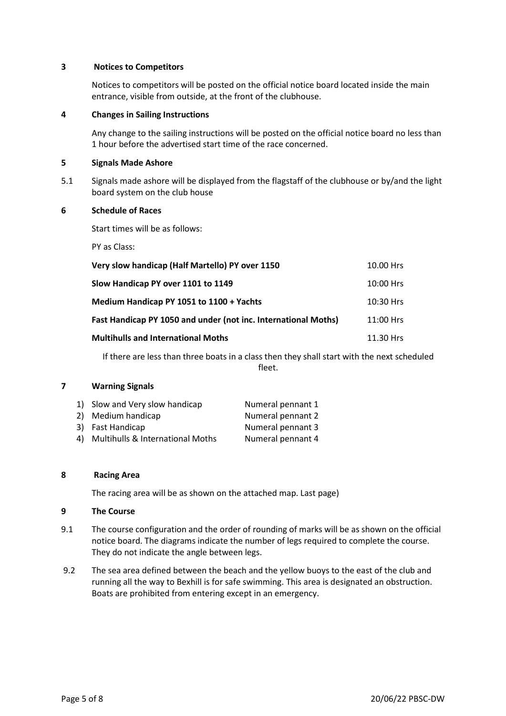# **3 Notices to Competitors**

Notices to competitors will be posted on the official notice board located inside the main entrance, visible from outside, at the front of the clubhouse.

#### **4 Changes in Sailing Instructions**

Any change to the sailing instructions will be posted on the official notice board no less than 1 hour before the advertised start time of the race concerned.

# **5 Signals Made Ashore**

5.1 Signals made ashore will be displayed from the flagstaff of the clubhouse or by/and the light board system on the club house

# **6 Schedule of Races**

Start times will be as follows:

PY as Class:

| Very slow handicap (Half Martello) PY over 1150                | 10.00 Hrs   |
|----------------------------------------------------------------|-------------|
| Slow Handicap PY over 1101 to 1149                             | $10:00$ Hrs |
| Medium Handicap PY 1051 to 1100 + Yachts                       | 10:30 Hrs   |
| Fast Handicap PY 1050 and under (not inc. International Moths) | 11:00 Hrs   |
| <b>Multihulls and International Moths</b>                      | 11.30 Hrs   |

If there are less than three boats in a class then they shall start with the next scheduled fleet.

# **7 Warning Signals**

| 1) Slow and Very slow handicap      | Numeral pennant 1 |
|-------------------------------------|-------------------|
| 2) Medium handicap                  | Numeral pennant 2 |
| 3) Fast Handicap                    | Numeral pennant 3 |
| 4) Multihulls & International Moths | Numeral pennant 4 |

#### **8 Racing Area**

The racing area will be as shown on the attached map. Last page)

#### **9 The Course**

- 9.1 The course configuration and the order of rounding of marks will be as shown on the official notice board. The diagrams indicate the number of legs required to complete the course. They do not indicate the angle between legs.
- 9.2 The sea area defined between the beach and the yellow buoys to the east of the club and running all the way to Bexhill is for safe swimming. This area is designated an obstruction. Boats are prohibited from entering except in an emergency.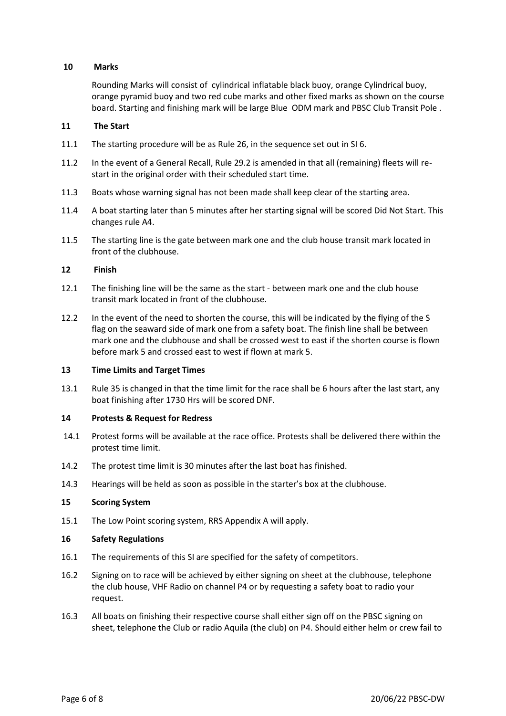# **10 Marks**

Rounding Marks will consist of cylindrical inflatable black buoy, orange Cylindrical buoy, orange pyramid buoy and two red cube marks and other fixed marks as shown on the course board. Starting and finishing mark will be large Blue ODM mark and PBSC Club Transit Pole .

# **11 The Start**

- 11.1 The starting procedure will be as Rule 26, in the sequence set out in SI 6.
- 11.2 In the event of a General Recall, Rule 29.2 is amended in that all (remaining) fleets will restart in the original order with their scheduled start time.
- 11.3 Boats whose warning signal has not been made shall keep clear of the starting area.
- 11.4 A boat starting later than 5 minutes after her starting signal will be scored Did Not Start. This changes rule A4.
- 11.5 The starting line is the gate between mark one and the club house transit mark located in front of the clubhouse.

# **12 Finish**

- 12.1 The finishing line will be the same as the start between mark one and the club house transit mark located in front of the clubhouse.
- 12.2 In the event of the need to shorten the course, this will be indicated by the flying of the S flag on the seaward side of mark one from a safety boat. The finish line shall be between mark one and the clubhouse and shall be crossed west to east if the shorten course is flown before mark 5 and crossed east to west if flown at mark 5.

# **13 Time Limits and Target Times**

13.1 Rule 35 is changed in that the time limit for the race shall be 6 hours after the last start, any boat finishing after 1730 Hrs will be scored DNF.

# **14 Protests & Request for Redress**

- 14.1 Protest forms will be available at the race office. Protests shall be delivered there within the protest time limit.
- 14.2 The protest time limit is 30 minutes after the last boat has finished.
- 14.3 Hearings will be held as soon as possible in the starter's box at the clubhouse.

# **15 Scoring System**

15.1 The Low Point scoring system, RRS Appendix A will apply.

# **16 Safety Regulations**

- 16.1 The requirements of this SI are specified for the safety of competitors.
- 16.2 Signing on to race will be achieved by either signing on sheet at the clubhouse, telephone the club house, VHF Radio on channel P4 or by requesting a safety boat to radio your request.
- 16.3 All boats on finishing their respective course shall either sign off on the PBSC signing on sheet, telephone the Club or radio Aquila (the club) on P4. Should either helm or crew fail to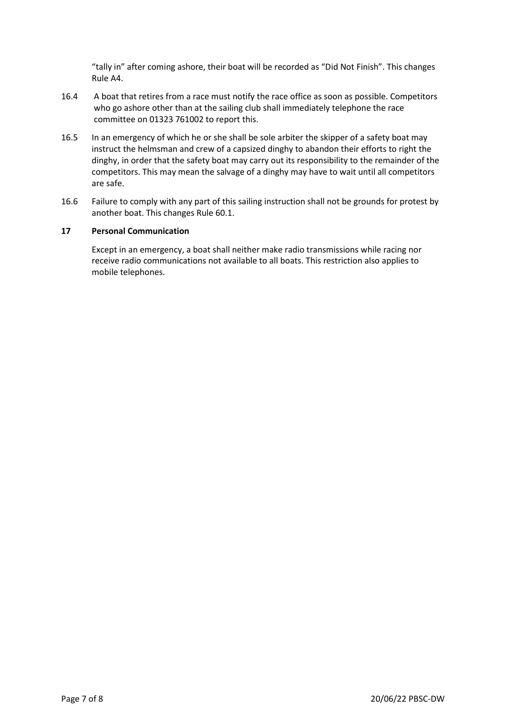"tally in" after coming ashore, their boat will be recorded as "Did Not Finish". This changes Rule A4.

- 16.4 A boat that retires from a race must notify the race office as soon as possible. Competitors who go ashore other than at the sailing club shall immediately telephone the race committee on 01323 761002 to report this.
- 16.5 In an emergency of which he or she shall be sole arbiter the skipper of a safety boat may instruct the helmsman and crew of a capsized dinghy to abandon their efforts to right the dinghy, in order that the safety boat may carry out its responsibility to the remainder of the competitors. This may mean the salvage of a dinghy may have to wait until all competitors are safe.
- 16.6 Failure to comply with any part of this sailing instruction shall not be grounds for protest by another boat. This changes Rule 60.1.

# **17 Personal Communication**

Except in an emergency, a boat shall neither make radio transmissions while racing nor receive radio communications not available to all boats. This restriction also applies to mobile telephones.